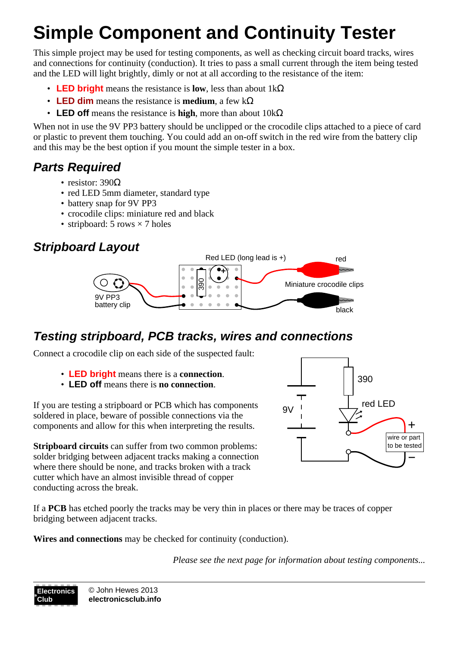# **Simple Component and Continuity Tester**

This simple project may be used for testing components, as well as checking circuit board tracks, wires and connections for continuity (conduction). It tries to pass a small current through the item being tested and the LED will light brightly, dimly or not at all according to the resistance of the item:

- **LED bright** means the resistance is **low**, less than about 1kΩ
- **LED dim** means the resistance is **medium**, a few kΩ
- **LED off** means the resistance is **high**, more than about 10kΩ

When not in use the 9V PP3 battery should be unclipped or the crocodile clips attached to a piece of card or plastic to prevent them touching. You could add an on-off switch in the red wire from the battery clip and this may be the best option if you mount the simple tester in a box.

## **Parts Required**

- resistor:  $390\Omega$
- red LED 5mm diameter, standard type
- battery snap for 9V PP3
- crocodile clips: miniature red and black
- stripboard: 5 rows  $\times$  7 holes

## **Stripboard Layout**



#### **Testing stripboard, PCB tracks, wires and connections**

Connect a crocodile clip on each side of the suspected fault:

- **LED bright** means there is a **connection**.
- **LED off** means there is **no connection**.

If you are testing a stripboard or PCB which has components soldered in place, beware of possible connections via the components and allow for this when interpreting the results.

**Stripboard circuits** can suffer from two common problems: solder bridging between adjacent tracks making a connection where there should be none, and tracks broken with a track cutter which have an almost invisible thread of copper conducting across the break.



If a **PCB** has etched poorly the tracks may be very thin in places or there may be traces of copper bridging between adjacent tracks.

**Wires and connections** may be checked for continuity (conduction).

*Please see the next page for information about testing components...*